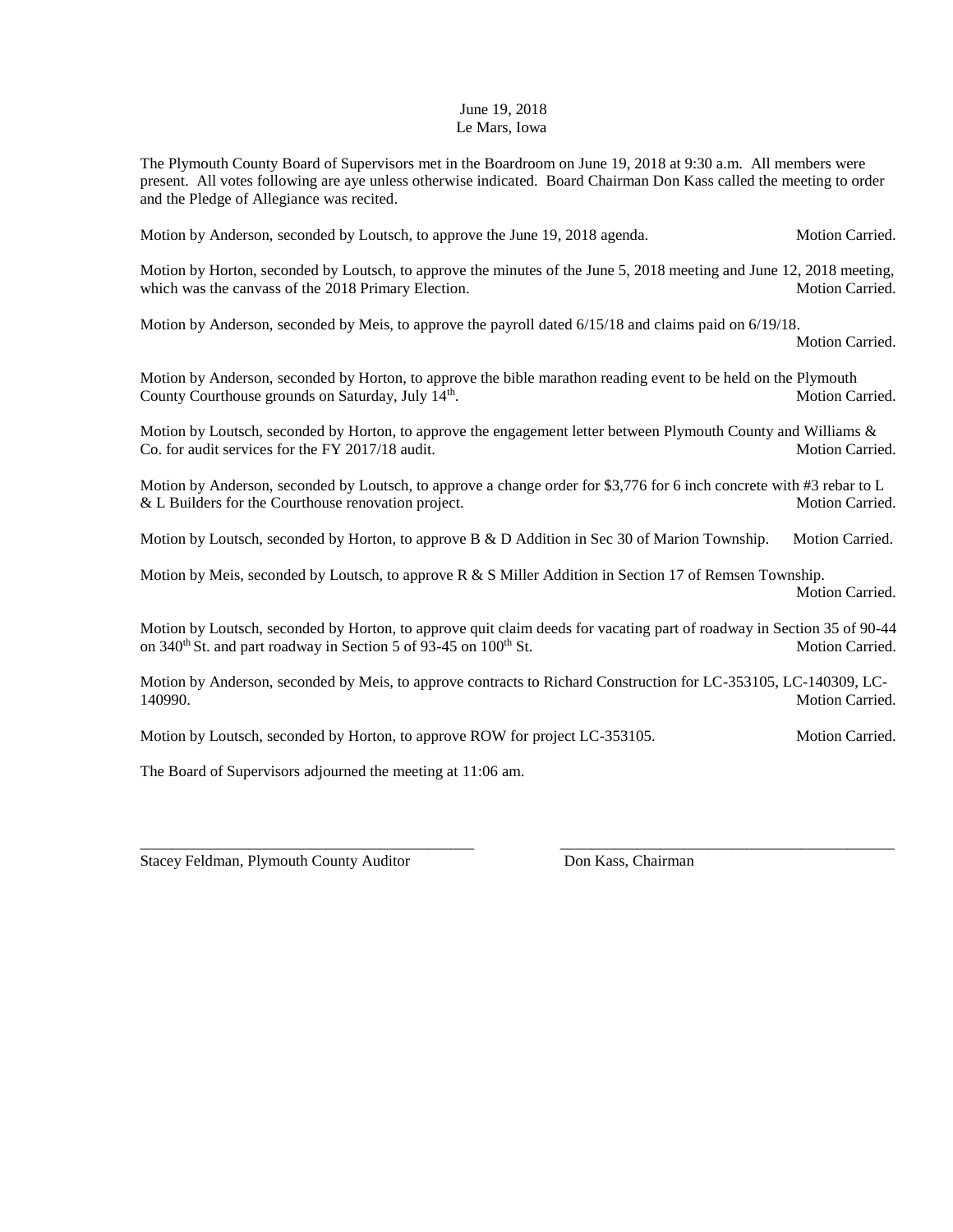## June 19, 2018 Le Mars, Iowa

The Plymouth County Board of Supervisors met in the Boardroom on June 19, 2018 at 9:30 a.m. All members were present. All votes following are aye unless otherwise indicated. Board Chairman Don Kass called the meeting to order and the Pledge of Allegiance was recited.

Motion by Anderson, seconded by Loutsch, to approve the June 19, 2018 agenda. Motion Carried.

Motion by Horton, seconded by Loutsch, to approve the minutes of the June 5, 2018 meeting and June 12, 2018 meeting, which was the canvass of the 2018 Primary Election. Motion Carried. Motion Carried.

Motion by Anderson, seconded by Meis, to approve the payroll dated 6/15/18 and claims paid on 6/19/18.

Motion Carried.

Motion by Anderson, seconded by Horton, to approve the bible marathon reading event to be held on the Plymouth County Courthouse grounds on Saturday, July 14<sup>th</sup>. Motion Carried.

Motion by Loutsch, seconded by Horton, to approve the engagement letter between Plymouth County and Williams & Co. for audit services for the FY 2017/18 audit. Motion Carried. Motion Carried.

Motion by Anderson, seconded by Loutsch, to approve a change order for \$3,776 for 6 inch concrete with #3 rebar to L & L Builders for the Courthouse renovation project. Motion Carried.

Motion by Loutsch, seconded by Horton, to approve B & D Addition in Sec 30 of Marion Township. Motion Carried.

Motion by Meis, seconded by Loutsch, to approve  $R \& S$  Miller Addition in Section 17 of Remsen Township. Motion Carried.

Motion by Loutsch, seconded by Horton, to approve quit claim deeds for vacating part of roadway in Section 35 of 90-44 on  $340<sup>th</sup>$  St. and part roadway in Section 5 of 93-45 on  $100<sup>th</sup>$  St. Motion Carried.

Motion by Anderson, seconded by Meis, to approve contracts to Richard Construction for LC-353105, LC-140309, LC-140990. Motion Carried.

\_\_\_\_\_\_\_\_\_\_\_\_\_\_\_\_\_\_\_\_\_\_\_\_\_\_\_\_\_\_\_\_\_\_\_\_\_\_\_\_\_\_\_ \_\_\_\_\_\_\_\_\_\_\_\_\_\_\_\_\_\_\_\_\_\_\_\_\_\_\_\_\_\_\_\_\_\_\_\_\_\_\_\_\_\_\_

Motion by Loutsch, seconded by Horton, to approve ROW for project LC-353105. Motion Carried.

The Board of Supervisors adjourned the meeting at 11:06 am.

Stacey Feldman, Plymouth County Auditor Don Kass, Chairman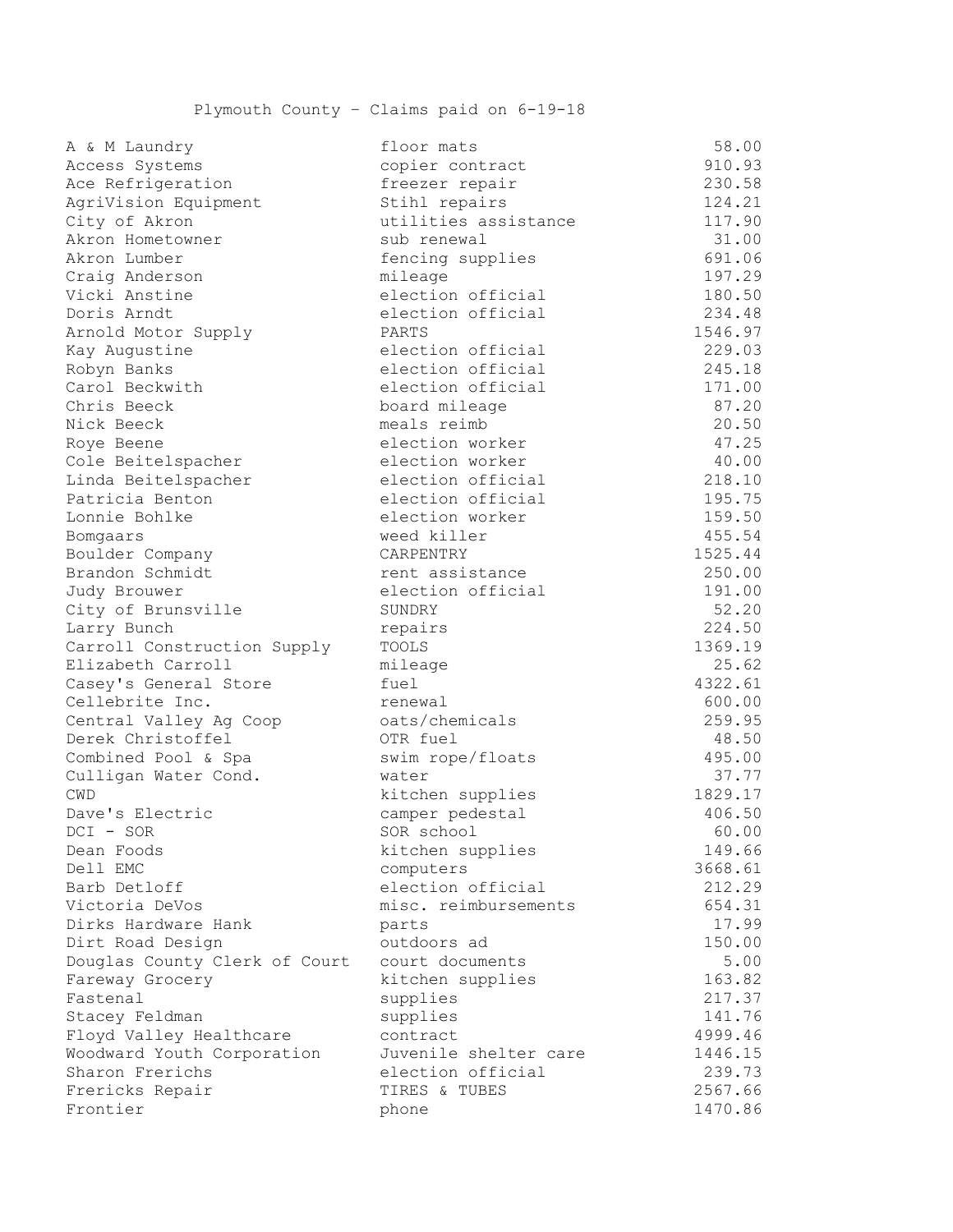| a & m Laundry                 | Iloor mats            | J8.UU   |
|-------------------------------|-----------------------|---------|
| Access Systems                | copier contract       | 910.93  |
| Ace Refrigeration             | freezer repair        | 230.58  |
| AgriVision Equipment          | Stihl repairs         | 124.21  |
| City of Akron                 | utilities assistance  | 117.90  |
| Akron Hometowner              | sub renewal           | 31.00   |
| Akron Lumber                  | fencing supplies      | 691.06  |
| Craig Anderson                | mileage               | 197.29  |
| Vicki Anstine                 | election official     | 180.50  |
| Doris Arndt                   | election official     | 234.48  |
| Arnold Motor Supply           | PARTS                 | 1546.97 |
| Kay Augustine                 | election official     | 229.03  |
| Robyn Banks                   | election official     | 245.18  |
| Carol Beckwith                | election official     | 171.00  |
| Chris Beeck                   | board mileage         | 87.20   |
| Nick Beeck                    | meals reimb           | 20.50   |
| Roye Beene                    | election worker       | 47.25   |
| Cole Beitelspacher            | election worker       | 40.00   |
| Linda Beitelspacher           | election official     | 218.10  |
| Patricia Benton               | election official     | 195.75  |
| Lonnie Bohlke                 | election worker       | 159.50  |
| Bomgaars                      | weed killer           | 455.54  |
| Boulder Company               | CARPENTRY             | 1525.44 |
| Brandon Schmidt               | rent assistance       | 250.00  |
| Judy Brouwer                  | election official     | 191.00  |
| City of Brunsville            | SUNDRY                | 52.20   |
| Larry Bunch                   | repairs               | 224.50  |
| Carroll Construction Supply   | TOOLS                 | 1369.19 |
| Elizabeth Carroll             | mileage               | 25.62   |
| Casey's General Store         | fuel                  | 4322.61 |
| Cellebrite Inc.               | renewal               | 600.00  |
| Central Valley Ag Coop        | oats/chemicals        | 259.95  |
| Derek Christoffel             | OTR fuel              | 48.50   |
| Combined Pool & Spa           | swim rope/floats      | 495.00  |
| Culligan Water Cond.          | water                 | 37.77   |
| CWD                           | kitchen supplies      | 1829.17 |
| Dave's Electric               | camper pedestal       | 406.50  |
| DCI - SOR                     | SOR school            | 60.00   |
| Dean Foods                    | kitchen supplies      | 149.66  |
| Dell EMC                      | computers             | 3668.61 |
| Barb Detloff                  | election official     | 212.29  |
| Victoria DeVos                | misc. reimbursements  | 654.31  |
| Dirks Hardware Hank           | parts                 | 17.99   |
| Dirt Road Design              | outdoors ad           | 150.00  |
| Douglas County Clerk of Court | court documents       | 5.00    |
| Fareway Grocery               | kitchen supplies      | 163.82  |
| Fastenal                      | supplies              | 217.37  |
| Stacey Feldman                | supplies              | 141.76  |
| Floyd Valley Healthcare       | contract              | 4999.46 |
| Woodward Youth Corporation    | Juvenile shelter care | 1446.15 |
| Sharon Frerichs               | election official     | 239.73  |
| Frericks Repair               | TIRES & TUBES         | 2567.66 |
| Frontier                      | phone                 | 1470.86 |
|                               |                       |         |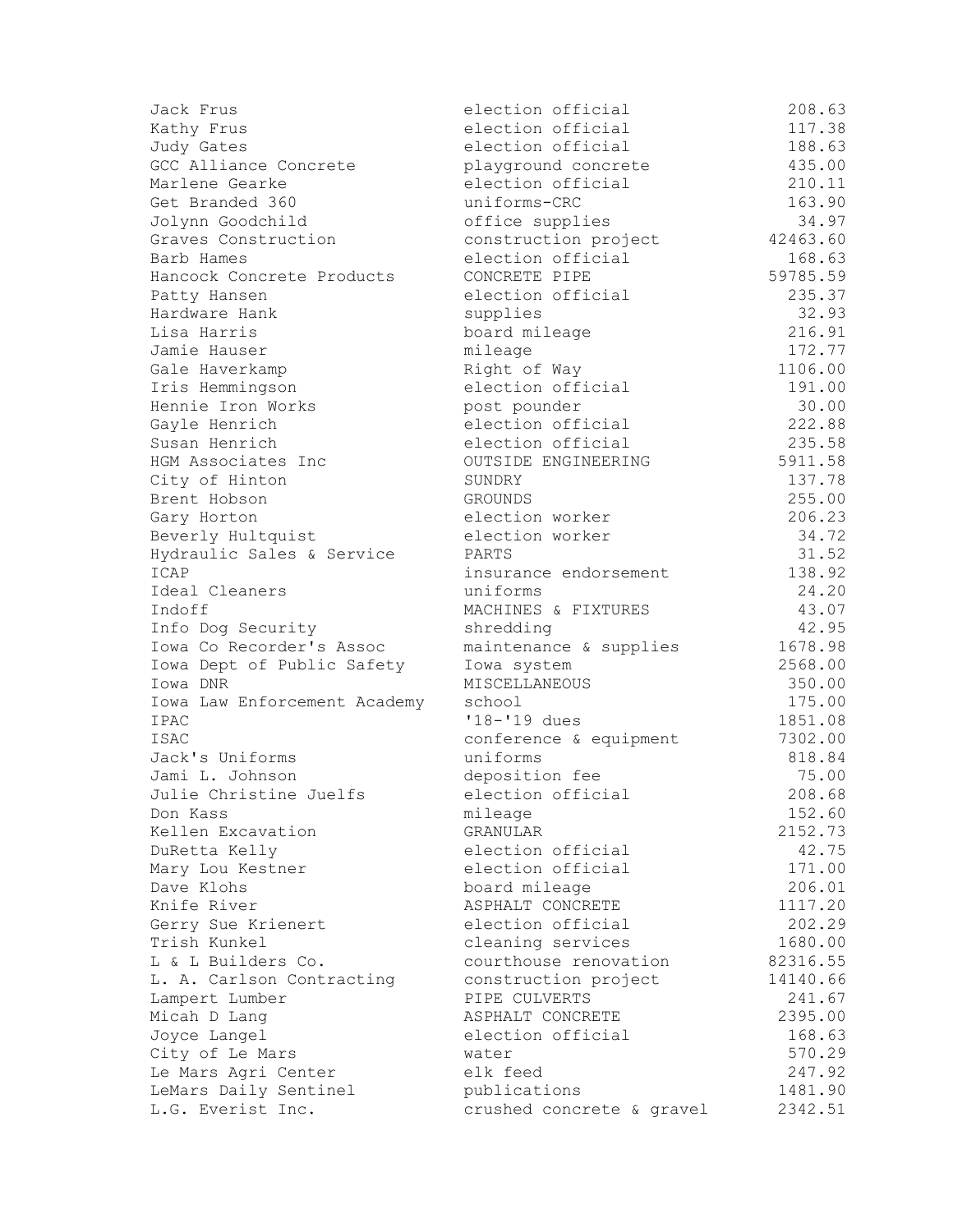| Jack Frus                    | election official          | 208.63   |
|------------------------------|----------------------------|----------|
| Kathy Frus                   | election official          | 117.38   |
| Judy Gates                   | election official          | 188.63   |
| GCC Alliance Concrete        | playground concrete        | 435.00   |
| Marlene Gearke               | election official          | 210.11   |
| Get Branded 360              | uniforms-CRC               | 163.90   |
| Jolynn Goodchild             | office supplies            | 34.97    |
| Graves Construction          | construction project       | 42463.60 |
| Barb Hames                   | election official          | 168.63   |
| Hancock Concrete Products    | CONCRETE PIPE              | 59785.59 |
| Patty Hansen                 | election official          | 235.37   |
| Hardware Hank                | supplies                   | 32.93    |
| Lisa Harris                  | board mileage              | 216.91   |
| Jamie Hauser                 | mileage                    | 172.77   |
| Gale Haverkamp               | Right of Way               | 1106.00  |
| Iris Hemmingson              | election official          | 191.00   |
| Hennie Iron Works            | post pounder               | 30.00    |
| Gayle Henrich                | election official          | 222.88   |
| Susan Henrich                | election official          | 235.58   |
| HGM Associates Inc           | <b>OUTSIDE ENGINEERING</b> | 5911.58  |
| City of Hinton               | SUNDRY                     | 137.78   |
| Brent Hobson                 | <b>GROUNDS</b>             | 255.00   |
| Gary Horton                  | election worker            | 206.23   |
| Beverly Hultquist            | election worker            | 34.72    |
| Hydraulic Sales & Service    | PARTS                      | 31.52    |
| ICAP                         | insurance endorsement      | 138.92   |
| Ideal Cleaners               | uniforms                   | 24.20    |
| Indoff                       | MACHINES & FIXTURES        | 43.07    |
| Info Dog Security            | shredding                  | 42.95    |
| Iowa Co Recorder's Assoc     | maintenance & supplies     | 1678.98  |
| Iowa Dept of Public Safety   | Iowa system                | 2568.00  |
| Iowa DNR                     | MISCELLANEOUS              | 350.00   |
| Iowa Law Enforcement Academy | school                     | 175.00   |
| IPAC                         | '18-'19 dues               | 1851.08  |
| <b>ISAC</b>                  | conference & equipment     | 7302.00  |
| Jack's Uniforms              | uniforms                   | 818.84   |
| Jami L. Johnson              | deposition fee             | 75.00    |
| Julie Christine Juelfs       | election official          | 208.68   |
| Don Kass                     | mileage                    | 152.60   |
| Kellen Excavation            | GRANULAR                   | 2152.73  |
| DuRetta Kelly                | election official          | 42.75    |
| Mary Lou Kestner             | election official          | 171.00   |
| Dave Klohs                   | board mileage              | 206.01   |
| Knife River                  | ASPHALT CONCRETE           | 1117.20  |
| Gerry Sue Krienert           | election official          | 202.29   |
| Trish Kunkel                 | cleaning services          | 1680.00  |
| L & L Builders Co.           | courthouse renovation      | 82316.55 |
| L. A. Carlson Contracting    | construction project       | 14140.66 |
| Lampert Lumber               | PIPE CULVERTS              | 241.67   |
| Micah D Lang                 | ASPHALT CONCRETE           | 2395.00  |
| Joyce Langel                 | election official          | 168.63   |
| City of Le Mars              | water                      | 570.29   |
| Le Mars Agri Center          | elk feed                   | 247.92   |
| LeMars Daily Sentinel        | publications               | 1481.90  |
| L.G. Everist Inc.            | crushed concrete & gravel  | 2342.51  |
|                              |                            |          |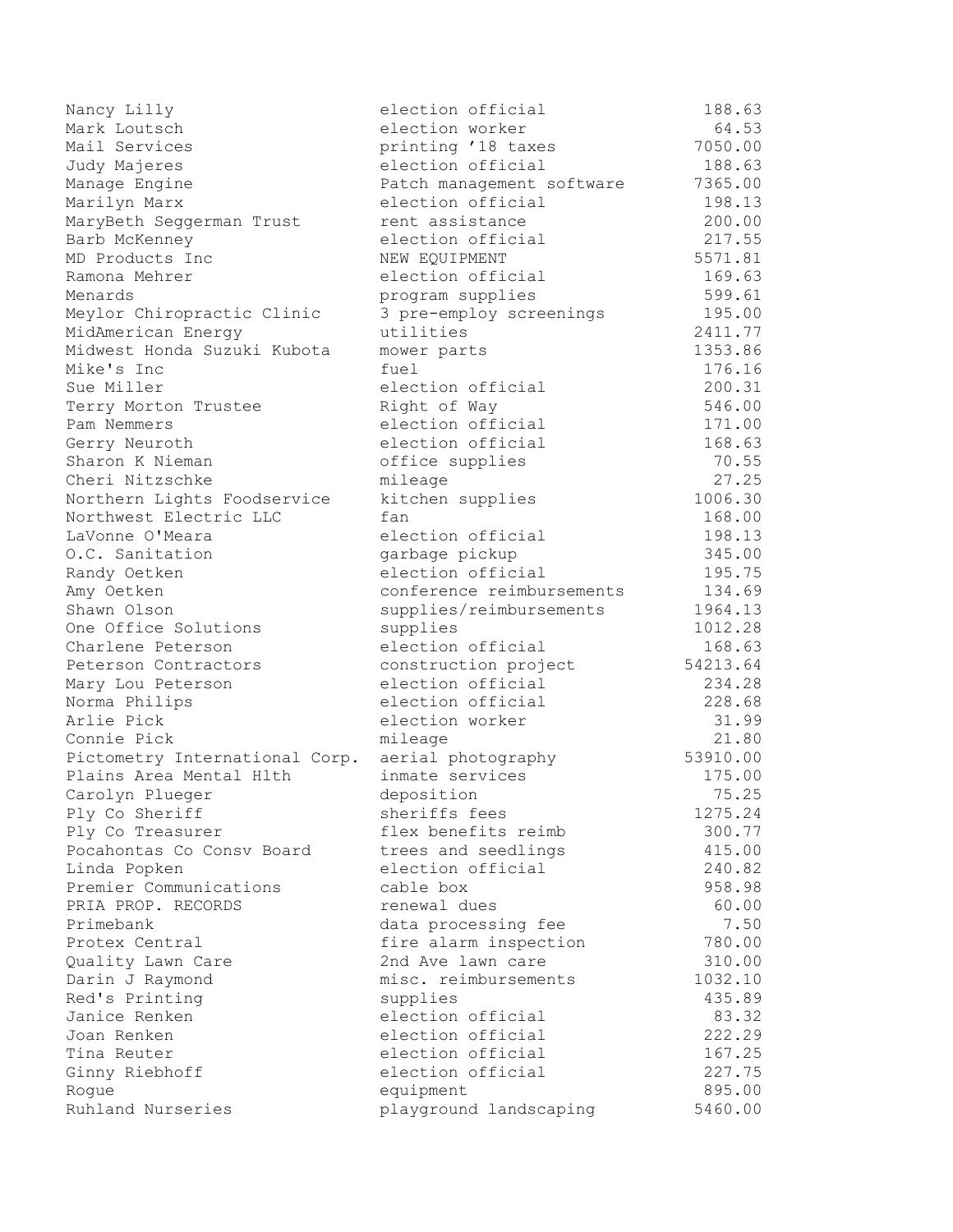| Nancy Lilly                    | election official         | 188.63   |
|--------------------------------|---------------------------|----------|
| Mark Loutsch                   | election worker           | 64.53    |
| Mail Services                  | printing '18 taxes        | 7050.00  |
| Judy Majeres                   | election official         | 188.63   |
| Manage Engine                  | Patch management software | 7365.00  |
| Marilyn Marx                   | election official         | 198.13   |
| MaryBeth Seggerman Trust       | rent assistance           | 200.00   |
| Barb McKenney                  | election official         | 217.55   |
| MD Products Inc                | NEW EQUIPMENT             | 5571.81  |
| Ramona Mehrer                  | election official         | 169.63   |
| Menards                        | program supplies          | 599.61   |
| Meylor Chiropractic Clinic     | 3 pre-employ screenings   | 195.00   |
| MidAmerican Energy             | utilities                 | 2411.77  |
| Midwest Honda Suzuki Kubota    | mower parts               | 1353.86  |
| Mike's Inc                     | fuel                      | 176.16   |
| Sue Miller                     | election official         | 200.31   |
| Terry Morton Trustee           | Right of Way              | 546.00   |
| Pam Nemmers                    | election official         | 171.00   |
| Gerry Neuroth                  | election official         | 168.63   |
| Sharon K Nieman                | office supplies           | 70.55    |
| Cheri Nitzschke                | mileage                   | 27.25    |
| Northern Lights Foodservice    | kitchen supplies          | 1006.30  |
| Northwest Electric LLC         | fan                       | 168.00   |
| LaVonne O'Meara                | election official         | 198.13   |
| O.C. Sanitation                | garbage pickup            | 345.00   |
| Randy Oetken                   | election official         | 195.75   |
| Amy Oetken                     | conference reimbursements | 134.69   |
| Shawn Olson                    | supplies/reimbursements   | 1964.13  |
| One Office Solutions           | supplies                  | 1012.28  |
| Charlene Peterson              | election official         | 168.63   |
| Peterson Contractors           | construction project      | 54213.64 |
| Mary Lou Peterson              | election official         | 234.28   |
| Norma Philips                  | election official         | 228.68   |
| Arlie Pick                     | election worker           | 31.99    |
| Connie Pick                    | mileage                   | 21.80    |
| Pictometry International Corp. | aerial photography        | 53910.00 |
| Plains Area Mental Hlth        | inmate services           | 175.00   |
| Carolyn Plueger                | deposition                | 75.25    |
| Ply Co Sheriff                 | sheriffs fees             | 1275.24  |
| Ply Co Treasurer               | flex benefits reimb       | 300.77   |
| Pocahontas Co Consv Board      | trees and seedlings       | 415.00   |
| Linda Popken                   | election official         | 240.82   |
| Premier Communications         | cable box                 | 958.98   |
| PRIA PROP. RECORDS             | renewal dues              | 60.00    |
| Primebank                      | data processing fee       | 7.50     |
| Protex Central                 | fire alarm inspection     | 780.00   |
| Quality Lawn Care              | 2nd Ave lawn care         | 310.00   |
| Darin J Raymond                | misc. reimbursements      | 1032.10  |
| Red's Printing                 | supplies                  | 435.89   |
| Janice Renken                  | election official         | 83.32    |
| Joan Renken                    | election official         | 222.29   |
| Tina Reuter                    | election official         | 167.25   |
| Ginny Riebhoff                 | election official         | 227.75   |
| Rogue                          | equipment                 | 895.00   |
| Ruhland Nurseries              | playground landscaping    | 5460.00  |
|                                |                           |          |